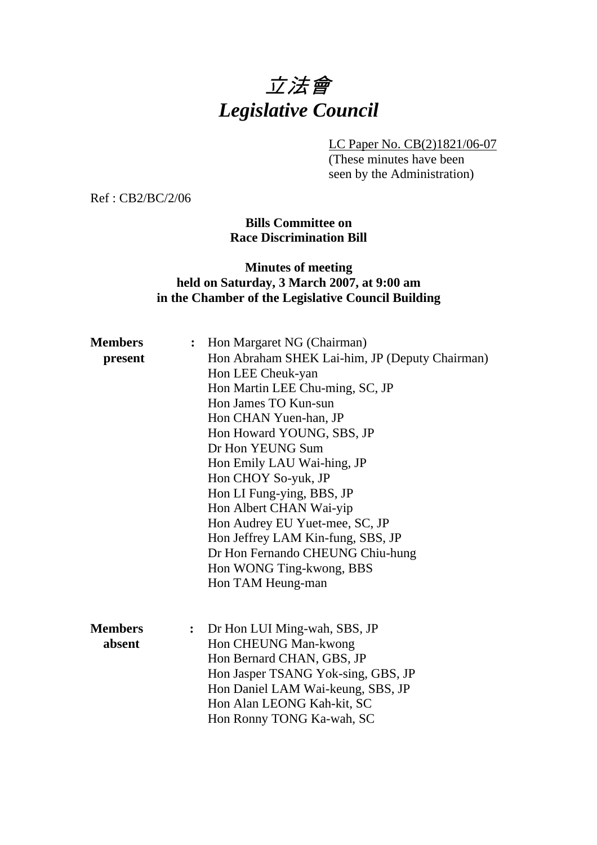# 立法會 *Legislative Council*

LC Paper No. CB(2)1821/06-07

(These minutes have been seen by the Administration)

Ref : CB2/BC/2/06

**Bills Committee on Race Discrimination Bill** 

# **Minutes of meeting held on Saturday, 3 March 2007, at 9:00 am in the Chamber of the Legislative Council Building**

| <b>Members</b> | Hon Margaret NG (Chairman)<br>$\ddot{\cdot}$     |
|----------------|--------------------------------------------------|
| present        | Hon Abraham SHEK Lai-him, JP (Deputy Chairman)   |
|                | Hon LEE Cheuk-yan                                |
|                | Hon Martin LEE Chu-ming, SC, JP                  |
|                | Hon James TO Kun-sun                             |
|                | Hon CHAN Yuen-han, JP                            |
|                | Hon Howard YOUNG, SBS, JP                        |
|                | Dr Hon YEUNG Sum                                 |
|                | Hon Emily LAU Wai-hing, JP                       |
|                | Hon CHOY So-yuk, JP                              |
|                | Hon LI Fung-ying, BBS, JP                        |
|                | Hon Albert CHAN Wai-yip                          |
|                | Hon Audrey EU Yuet-mee, SC, JP                   |
|                | Hon Jeffrey LAM Kin-fung, SBS, JP                |
|                | Dr Hon Fernando CHEUNG Chiu-hung                 |
|                | Hon WONG Ting-kwong, BBS                         |
|                | Hon TAM Heung-man                                |
|                |                                                  |
|                |                                                  |
| <b>Members</b> | Dr Hon LUI Ming-wah, SBS, JP<br>$\ddot{\bullet}$ |
| absent         | Hon CHEUNG Man-kwong                             |
|                | Hon Bernard CHAN, GBS, JP                        |
|                | Hon Jasper TSANG Yok-sing, GBS, JP               |
|                | Hon Daniel LAM Wai-keung, SBS, JP                |
|                | Hon Alan LEONG Kah-kit, SC                       |
|                | Hon Ronny TONG Ka-wah, SC                        |
|                |                                                  |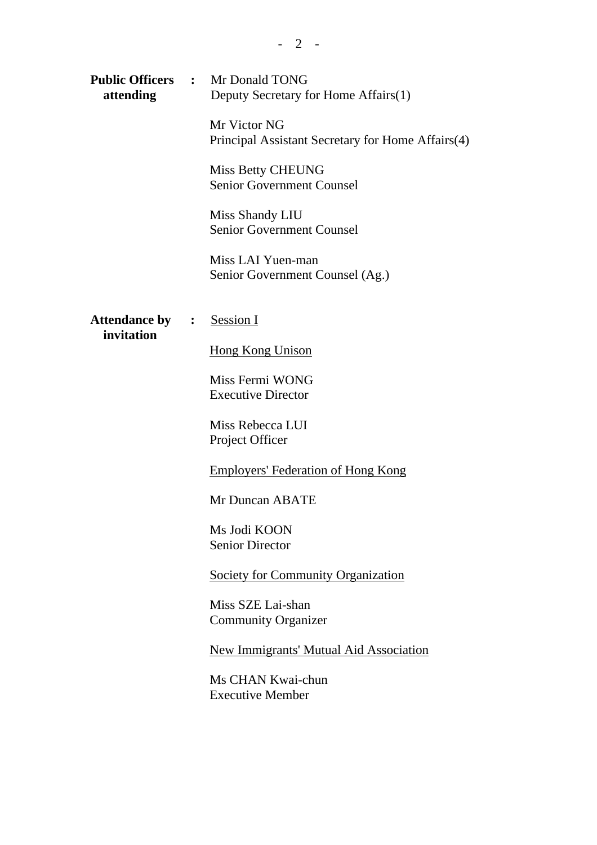| attending                          |  | <b>Public Officers : Mr Donald TONG</b><br>Deputy Secretary for Home Affairs(1) |  |
|------------------------------------|--|---------------------------------------------------------------------------------|--|
|                                    |  | Mr Victor NG<br>Principal Assistant Secretary for Home Affairs(4)               |  |
|                                    |  | <b>Miss Betty CHEUNG</b><br><b>Senior Government Counsel</b>                    |  |
|                                    |  | Miss Shandy LIU<br><b>Senior Government Counsel</b>                             |  |
|                                    |  | Miss LAI Yuen-man<br>Senior Government Counsel (Ag.)                            |  |
| <b>Attendance by</b><br>invitation |  | : Session I                                                                     |  |
|                                    |  | <b>Hong Kong Unison</b>                                                         |  |
|                                    |  | Miss Fermi WONG<br><b>Executive Director</b>                                    |  |
|                                    |  | Miss Rebecca LUI<br>Project Officer                                             |  |
|                                    |  | <b>Employers' Federation of Hong Kong</b>                                       |  |
|                                    |  | Mr Duncan ABATE                                                                 |  |
|                                    |  | Ms Jodi KOON<br><b>Senior Director</b>                                          |  |
|                                    |  | <b>Society for Community Organization</b>                                       |  |
|                                    |  | Miss SZE Lai-shan<br><b>Community Organizer</b>                                 |  |
|                                    |  | <b>New Immigrants' Mutual Aid Association</b>                                   |  |
|                                    |  | Ms CHAN Kwai-chun<br><b>Executive Member</b>                                    |  |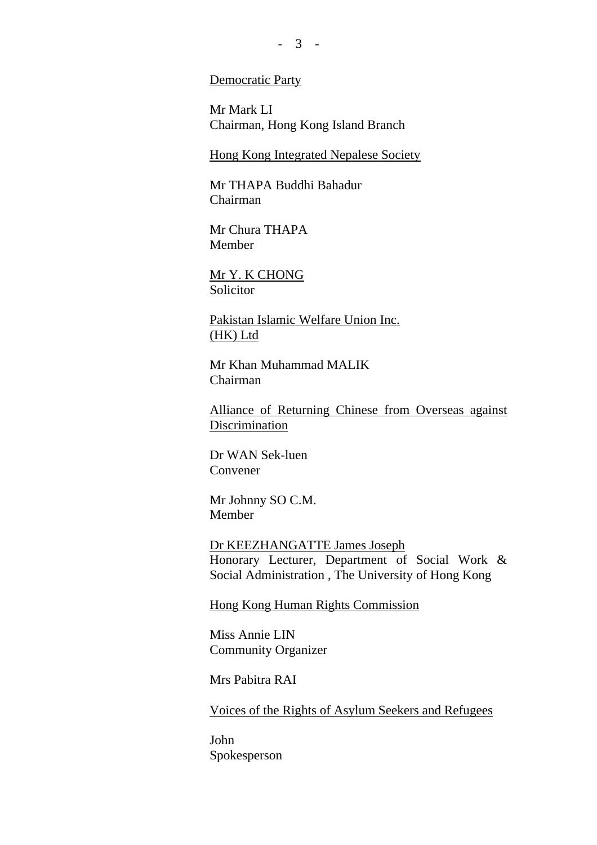## Democratic Party

Mr Mark LI Chairman, Hong Kong Island Branch

Hong Kong Integrated Nepalese Society

Mr THAPA Buddhi Bahadur Chairman

Mr Chura THAPA Member

Mr Y. K CHONG Solicitor

Pakistan Islamic Welfare Union Inc. (HK) Ltd

Mr Khan Muhammad MALIK Chairman

Alliance of Returning Chinese from Overseas against **Discrimination** 

Dr WAN Sek-luen Convener

Mr Johnny SO C.M. Member

Dr KEEZHANGATTE James Joseph Honorary Lecturer, Department of Social Work & Social Administration , The University of Hong Kong

Hong Kong Human Rights Commission

Miss Annie LIN Community Organizer

Mrs Pabitra RAI

Voices of the Rights of Asylum Seekers and Refugees

John Spokesperson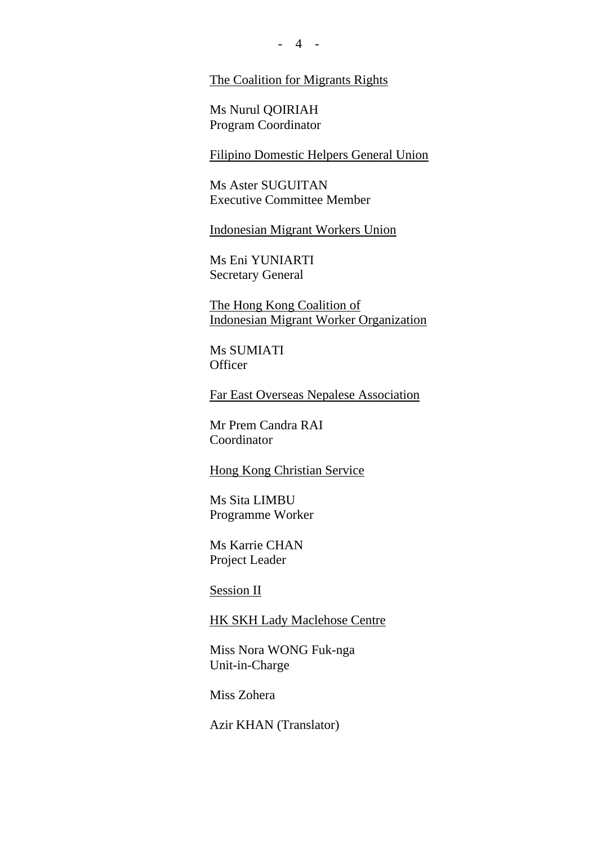The Coalition for Migrants Rights

Ms Nurul QOIRIAH Program Coordinator

Filipino Domestic Helpers General Union

Ms Aster SUGUITAN Executive Committee Member

Indonesian Migrant Workers Union

Ms Eni YUNIARTI Secretary General

The Hong Kong Coalition of Indonesian Migrant Worker Organization

Ms SUMIATI **Officer** 

Far East Overseas Nepalese Association

Mr Prem Candra RAI Coordinator

Hong Kong Christian Service

Ms Sita LIMBU Programme Worker

Ms Karrie CHAN Project Leader

Session II

HK SKH Lady Maclehose Centre

Miss Nora WONG Fuk-nga Unit-in-Charge

Miss Zohera

Azir KHAN (Translator)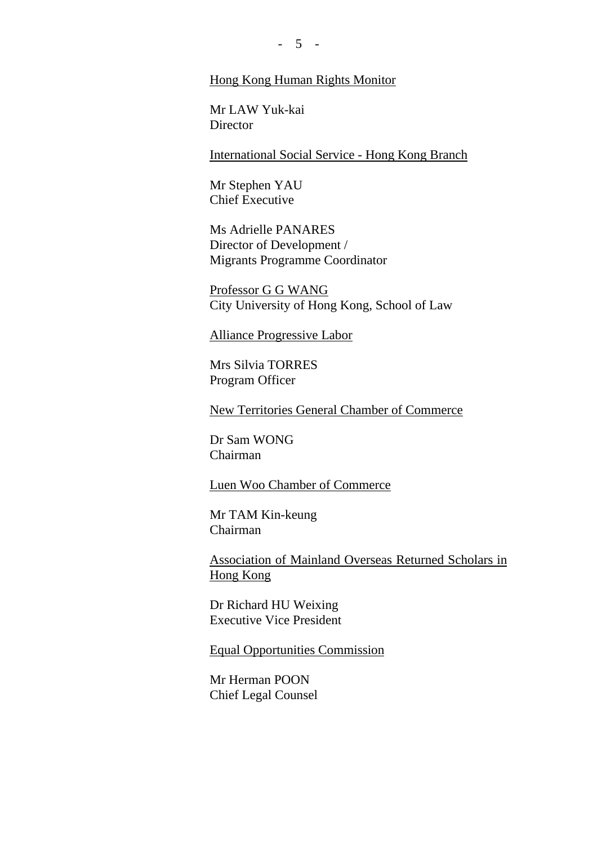### Hong Kong Human Rights Monitor

Mr LAW Yuk-kai **Director** 

International Social Service - Hong Kong Branch

Mr Stephen YAU Chief Executive

Ms Adrielle PANARES Director of Development / Migrants Programme Coordinator

Professor G G WANG City University of Hong Kong, School of Law

# Alliance Progressive Labor

Mrs Silvia TORRES Program Officer

New Territories General Chamber of Commerce

Dr Sam WONG Chairman

Luen Woo Chamber of Commerce

Mr TAM Kin-keung Chairman

Association of Mainland Overseas Returned Scholars in Hong Kong

Dr Richard HU Weixing Executive Vice President

Equal Opportunities Commission

Mr Herman POON Chief Legal Counsel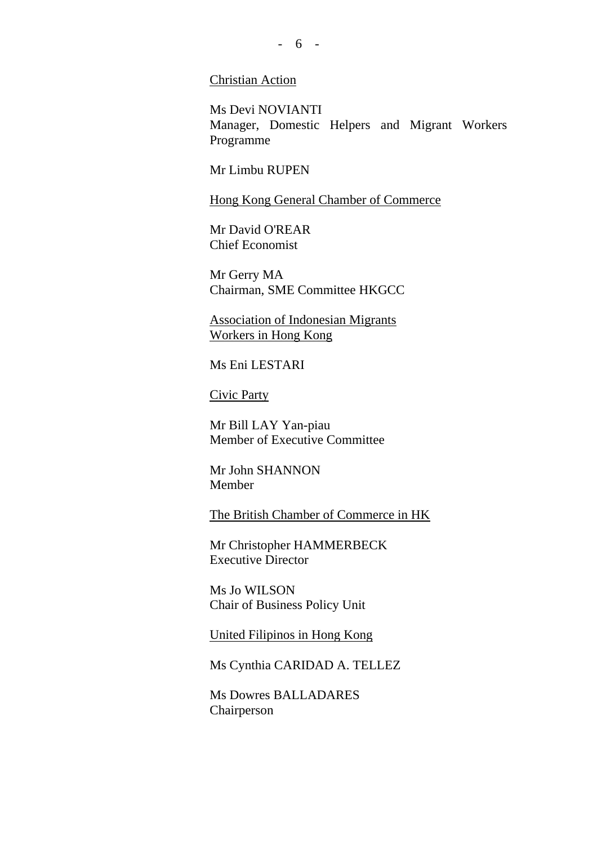## Christian Action

Ms Devi NOVIANTI Manager, Domestic Helpers and Migrant Workers Programme

Mr Limbu RUPEN

Hong Kong General Chamber of Commerce

Mr David O'REAR Chief Economist

Mr Gerry MA Chairman, SME Committee HKGCC

Association of Indonesian Migrants Workers in Hong Kong

Ms Eni LESTARI

Civic Party

Mr Bill LAY Yan-piau Member of Executive Committee

Mr John SHANNON Member

The British Chamber of Commerce in HK

Mr Christopher HAMMERBECK Executive Director

Ms Jo WILSON Chair of Business Policy Unit

United Filipinos in Hong Kong

Ms Cynthia CARIDAD A. TELLEZ

Ms Dowres BALLADARES Chairperson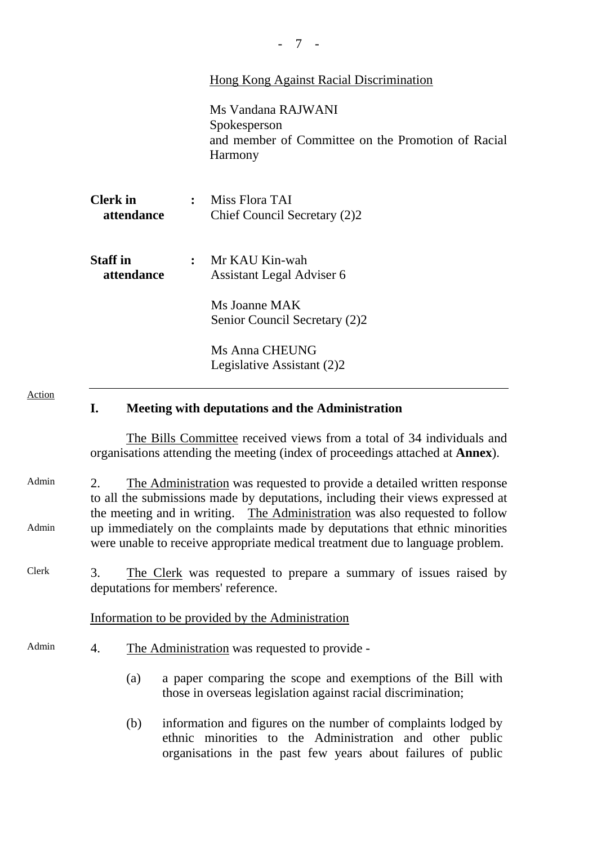|                               | Hong Kong Against Racial Discrimination                                                                    |  |
|-------------------------------|------------------------------------------------------------------------------------------------------------|--|
|                               | Ms Vandana RAJWANI<br>Spokesperson<br>and member of Committee on the Promotion of Racial<br><b>Harmony</b> |  |
| <b>Clerk</b> in<br>attendance | $:$ Miss Flora TAI<br>Chief Council Secretary (2)2                                                         |  |
| <b>Staff</b> in<br>attendance | : Mr KAU Kin-wah<br>Assistant Legal Adviser 6                                                              |  |
|                               | Ms Joanne MAK<br>Senior Council Secretary (2)2                                                             |  |
|                               | Ms Anna CHEUNG<br>Legislative Assistant (2)2                                                               |  |

#### Action

# **I. Meeting with deputations and the Administration**

The Bills Committee received views from a total of 34 individuals and organisations attending the meeting (index of proceedings attached at **Annex**).

- Admin Admin 2. The Administration was requested to provide a detailed written response to all the submissions made by deputations, including their views expressed at the meeting and in writing. The Administration was also requested to follow up immediately on the complaints made by deputations that ethnic minorities were unable to receive appropriate medical treatment due to language problem.
- Clerk 3. The Clerk was requested to prepare a summary of issues raised by deputations for members' reference.

### Information to be provided by the Administration

- Admin 4. The Administration was requested to provide -
	- (a) a paper comparing the scope and exemptions of the Bill with those in overseas legislation against racial discrimination;
	- (b) information and figures on the number of complaints lodged by ethnic minorities to the Administration and other public organisations in the past few years about failures of public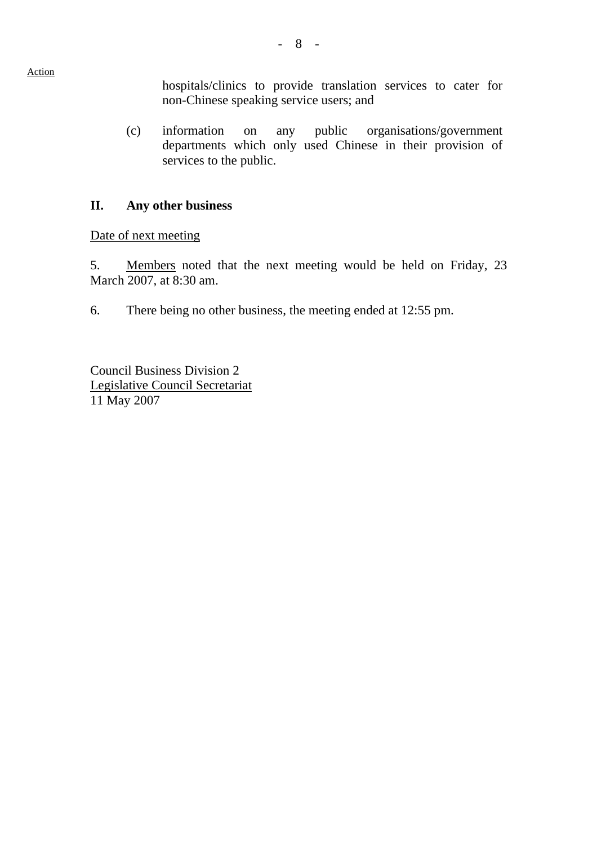Action

hospitals/clinics to provide translation services to cater for non-Chinese speaking service users; and

 (c) information on any public organisations/government departments which only used Chinese in their provision of services to the public.

# **II. Any other business**

Date of next meeting

5. Members noted that the next meeting would be held on Friday, 23 March 2007, at 8:30 am.

6. There being no other business, the meeting ended at 12:55 pm.

Council Business Division 2 Legislative Council Secretariat 11 May 2007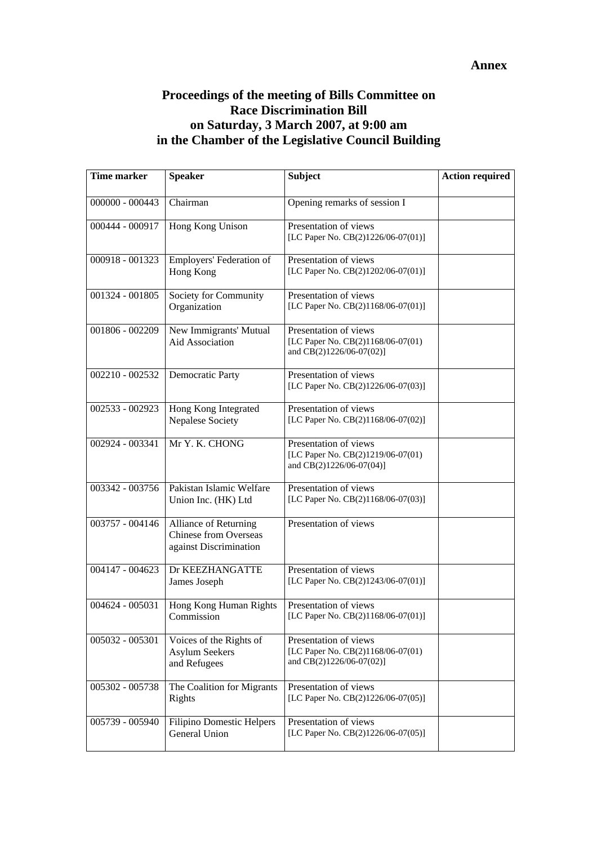# **Annex**

# **Proceedings of the meeting of Bills Committee on Race Discrimination Bill on Saturday, 3 March 2007, at 9:00 am in the Chamber of the Legislative Council Building**

| <b>Time marker</b> | <b>Speaker</b>                                                                  | <b>Subject</b>                                                                         | <b>Action required</b> |
|--------------------|---------------------------------------------------------------------------------|----------------------------------------------------------------------------------------|------------------------|
| 000000 - 000443    | Chairman                                                                        | Opening remarks of session I                                                           |                        |
| 000444 - 000917    | Hong Kong Unison                                                                | Presentation of views<br>[LC Paper No. CB(2)1226/06-07(01)]                            |                        |
| 000918 - 001323    | Employers' Federation of<br>Hong Kong                                           | Presentation of views<br>[LC Paper No. CB(2)1202/06-07(01)]                            |                        |
| 001324 - 001805    | Society for Community<br>Organization                                           | Presentation of views<br>[LC Paper No. CB(2)1168/06-07(01)]                            |                        |
| 001806 - 002209    | New Immigrants' Mutual<br><b>Aid Association</b>                                | Presentation of views<br>[LC Paper No. CB(2)1168/06-07(01)<br>and CB(2)1226/06-07(02)] |                        |
| $002210 - 002532$  | <b>Democratic Party</b>                                                         | Presentation of views<br>[LC Paper No. CB(2)1226/06-07(03)]                            |                        |
| 002533 - 002923    | Hong Kong Integrated<br>Nepalese Society                                        | Presentation of views<br>[LC Paper No. CB(2)1168/06-07(02)]                            |                        |
| 002924 - 003341    | Mr Y. K. CHONG                                                                  | Presentation of views<br>[LC Paper No. CB(2)1219/06-07(01)<br>and CB(2)1226/06-07(04)] |                        |
| 003342 - 003756    | Pakistan Islamic Welfare<br>Union Inc. (HK) Ltd                                 | Presentation of views<br>[LC Paper No. CB(2)1168/06-07(03)]                            |                        |
| 003757 - 004146    | Alliance of Returning<br><b>Chinese from Overseas</b><br>against Discrimination | Presentation of views                                                                  |                        |
| 004147 - 004623    | Dr KEEZHANGATTE<br>James Joseph                                                 | Presentation of views<br>[LC Paper No. CB(2)1243/06-07(01)]                            |                        |
| 004624 - 005031    | Hong Kong Human Rights<br>Commission                                            | Presentation of views<br>[LC Paper No. CB(2)1168/06-07(01)]                            |                        |
| 005032 - 005301    | Voices of the Rights of<br><b>Asylum Seekers</b><br>and Refugees                | Presentation of views<br>[LC Paper No. CB(2)1168/06-07(01)<br>and CB(2)1226/06-07(02)] |                        |
| 005302 - 005738    | The Coalition for Migrants<br>Rights                                            | Presentation of views<br>[LC Paper No. CB(2)1226/06-07(05)]                            |                        |
| 005739 - 005940    | Filipino Domestic Helpers<br>General Union                                      | Presentation of views<br>[LC Paper No. CB(2)1226/06-07(05)]                            |                        |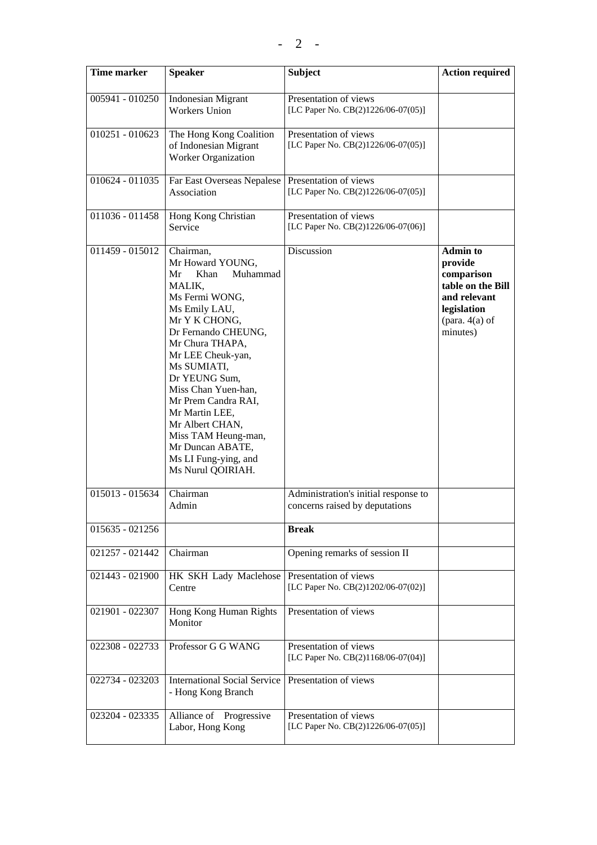| <b>Time marker</b> | <b>Speaker</b>                                                                                                                                                                                                                                                                                                                                                                                  | <b>Subject</b>                                                         | <b>Action required</b>                                                                                                       |
|--------------------|-------------------------------------------------------------------------------------------------------------------------------------------------------------------------------------------------------------------------------------------------------------------------------------------------------------------------------------------------------------------------------------------------|------------------------------------------------------------------------|------------------------------------------------------------------------------------------------------------------------------|
| 005941 - 010250    | <b>Indonesian Migrant</b><br><b>Workers Union</b>                                                                                                                                                                                                                                                                                                                                               | Presentation of views<br>[LC Paper No. CB(2)1226/06-07(05)]            |                                                                                                                              |
| 010251 - 010623    | The Hong Kong Coalition<br>of Indonesian Migrant<br>Worker Organization                                                                                                                                                                                                                                                                                                                         | Presentation of views<br>[LC Paper No. CB(2)1226/06-07(05)]            |                                                                                                                              |
| 010624 - 011035    | Far East Overseas Nepalese<br>Association                                                                                                                                                                                                                                                                                                                                                       | Presentation of views<br>[LC Paper No. CB(2)1226/06-07(05)]            |                                                                                                                              |
| 011036 - 011458    | Hong Kong Christian<br>Service                                                                                                                                                                                                                                                                                                                                                                  | Presentation of views<br>[LC Paper No. CB(2)1226/06-07(06)]            |                                                                                                                              |
| $011459 - 015012$  | Chairman,<br>Mr Howard YOUNG,<br>Mr<br>Muhammad<br>Khan<br>MALIK,<br>Ms Fermi WONG,<br>Ms Emily LAU,<br>Mr Y K CHONG,<br>Dr Fernando CHEUNG,<br>Mr Chura THAPA,<br>Mr LEE Cheuk-yan,<br>Ms SUMIATI,<br>Dr YEUNG Sum,<br>Miss Chan Yuen-han,<br>Mr Prem Candra RAI,<br>Mr Martin LEE,<br>Mr Albert CHAN,<br>Miss TAM Heung-man,<br>Mr Duncan ABATE,<br>Ms LI Fung-ying, and<br>Ms Nurul QOIRIAH. | Discussion                                                             | <b>Admin to</b><br>provide<br>comparison<br>table on the Bill<br>and relevant<br>legislation<br>(para. $4(a)$ of<br>minutes) |
| 015013 - 015634    | Chairman<br>Admin                                                                                                                                                                                                                                                                                                                                                                               | Administration's initial response to<br>concerns raised by deputations |                                                                                                                              |
| 015635 - 021256    |                                                                                                                                                                                                                                                                                                                                                                                                 | <b>Break</b>                                                           |                                                                                                                              |
| $021257 - 021442$  | Chairman                                                                                                                                                                                                                                                                                                                                                                                        | Opening remarks of session II                                          |                                                                                                                              |
| 021443 - 021900    | HK SKH Lady Maclehose<br>Centre                                                                                                                                                                                                                                                                                                                                                                 | Presentation of views<br>[LC Paper No. CB(2)1202/06-07(02)]            |                                                                                                                              |
| 021901 - 022307    | Hong Kong Human Rights<br>Monitor                                                                                                                                                                                                                                                                                                                                                               | Presentation of views                                                  |                                                                                                                              |
| 022308 - 022733    | Professor G G WANG                                                                                                                                                                                                                                                                                                                                                                              | Presentation of views<br>[LC Paper No. CB(2)1168/06-07(04)]            |                                                                                                                              |
| 022734 - 023203    | <b>International Social Service</b><br>- Hong Kong Branch                                                                                                                                                                                                                                                                                                                                       | Presentation of views                                                  |                                                                                                                              |
| 023204 - 023335    | Alliance of Progressive<br>Labor, Hong Kong                                                                                                                                                                                                                                                                                                                                                     | Presentation of views<br>[LC Paper No. CB(2)1226/06-07(05)]            |                                                                                                                              |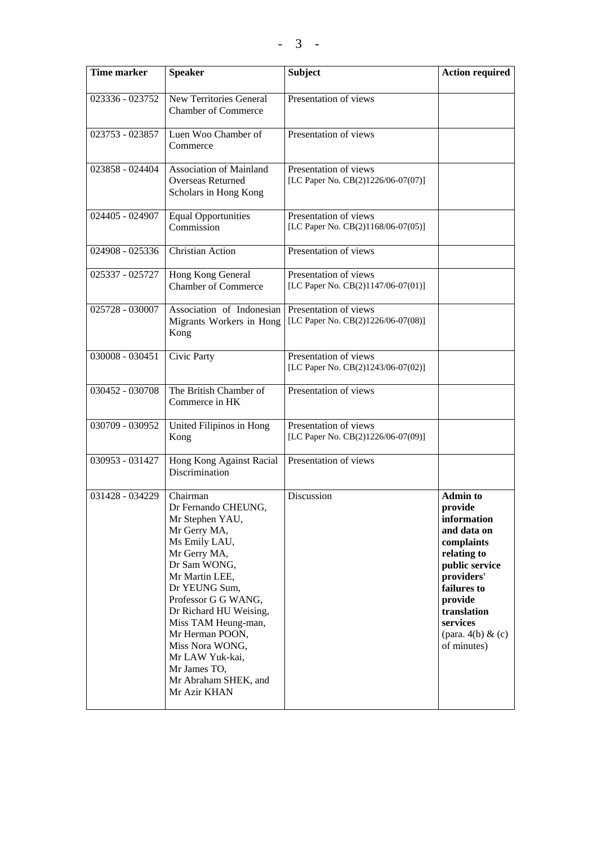| <b>Time marker</b> | <b>Speaker</b>                                                                                                                                                                                                                                                                                                                                  | <b>Subject</b>                                              | <b>Action required</b>                                                                                                                                                                                           |
|--------------------|-------------------------------------------------------------------------------------------------------------------------------------------------------------------------------------------------------------------------------------------------------------------------------------------------------------------------------------------------|-------------------------------------------------------------|------------------------------------------------------------------------------------------------------------------------------------------------------------------------------------------------------------------|
| 023336 - 023752    | New Territories General<br><b>Chamber of Commerce</b>                                                                                                                                                                                                                                                                                           | Presentation of views                                       |                                                                                                                                                                                                                  |
| 023753 - 023857    | Luen Woo Chamber of<br>Commerce                                                                                                                                                                                                                                                                                                                 | Presentation of views                                       |                                                                                                                                                                                                                  |
| $023858 - 024404$  | Association of Mainland<br><b>Overseas Returned</b><br>Scholars in Hong Kong                                                                                                                                                                                                                                                                    | Presentation of views<br>[LC Paper No. CB(2)1226/06-07(07)] |                                                                                                                                                                                                                  |
| 024405 - 024907    | <b>Equal Opportunities</b><br>Commission                                                                                                                                                                                                                                                                                                        | Presentation of views<br>[LC Paper No. CB(2)1168/06-07(05)] |                                                                                                                                                                                                                  |
| 024908 - 025336    | Christian Action                                                                                                                                                                                                                                                                                                                                | Presentation of views                                       |                                                                                                                                                                                                                  |
| 025337 - 025727    | Hong Kong General<br><b>Chamber of Commerce</b>                                                                                                                                                                                                                                                                                                 | Presentation of views<br>[LC Paper No. CB(2)1147/06-07(01)] |                                                                                                                                                                                                                  |
| 025728 - 030007    | Association of Indonesian<br>Migrants Workers in Hong<br>Kong                                                                                                                                                                                                                                                                                   | Presentation of views<br>[LC Paper No. CB(2)1226/06-07(08)] |                                                                                                                                                                                                                  |
| 030008 - 030451    | Civic Party                                                                                                                                                                                                                                                                                                                                     | Presentation of views<br>[LC Paper No. CB(2)1243/06-07(02)] |                                                                                                                                                                                                                  |
| 030452 - 030708    | The British Chamber of<br>Commerce in HK                                                                                                                                                                                                                                                                                                        | Presentation of views                                       |                                                                                                                                                                                                                  |
| 030709 - 030952    | United Filipinos in Hong<br>Kong                                                                                                                                                                                                                                                                                                                | Presentation of views<br>[LC Paper No. CB(2)1226/06-07(09)] |                                                                                                                                                                                                                  |
| 030953 - 031427    | Hong Kong Against Racial<br>Discrimination                                                                                                                                                                                                                                                                                                      | Presentation of views                                       |                                                                                                                                                                                                                  |
| 031428 - 034229    | Chairman<br>Dr Fernando CHEUNG,<br>Mr Stephen YAU,<br>Mr Gerry MA,<br>Ms Emily LAU,<br>Mr Gerry MA,<br>Dr Sam WONG,<br>Mr Martin LEE,<br>Dr YEUNG Sum,<br>Professor G G WANG,<br>Dr Richard HU Weising,<br>Miss TAM Heung-man,<br>Mr Herman POON,<br>Miss Nora WONG,<br>Mr LAW Yuk-kai,<br>Mr James TO,<br>Mr Abraham SHEK, and<br>Mr Azir KHAN | Discussion                                                  | <b>Admin to</b><br>provide<br>information<br>and data on<br>complaints<br>relating to<br>public service<br>providers'<br>failures to<br>provide<br>translation<br>services<br>(para. $4(b)$ & (c)<br>of minutes) |